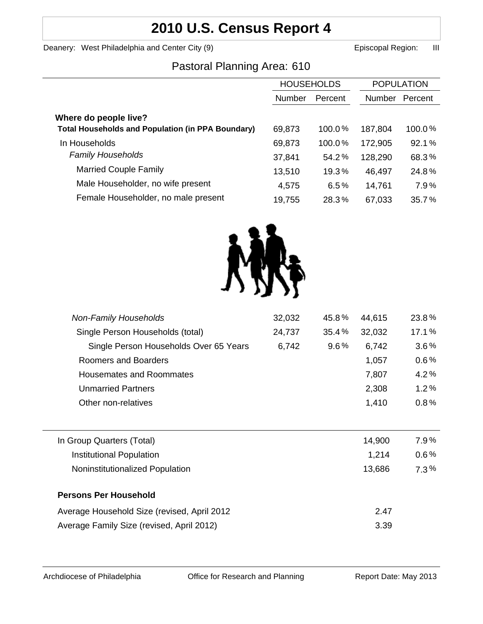# **2010 U.S. Census Report 4**

Deanery: West Philadelphia and Center City (9) **Example 2** Episcopal Region: III

# Pastoral Planning Area: 610

|                                                          | <b>HOUSEHOLDS</b> |           | <b>POPULATION</b> |         |
|----------------------------------------------------------|-------------------|-----------|-------------------|---------|
|                                                          |                   |           |                   |         |
|                                                          | <b>Number</b>     | Percent   | <b>Number</b>     | Percent |
| Where do people live?                                    |                   |           |                   |         |
| <b>Total Households and Population (in PPA Boundary)</b> | 69,873            | $100.0\%$ | 187,804           | 100.0%  |
| In Households                                            | 69,873            | 100.0%    | 172,905           | 92.1%   |
| <b>Family Households</b>                                 | 37,841            | 54.2%     | 128,290           | 68.3%   |
| <b>Married Couple Family</b>                             | 13,510            | 19.3%     | 46,497            | 24.8%   |
| Male Householder, no wife present                        | 4,575             | 6.5%      | 14,761            | 7.9%    |
| Female Householder, no male present                      | 19,755            | 28.3%     | 67,033            | 35.7%   |
|                                                          |                   |           |                   |         |



| <b>Non-Family Households</b><br>Single Person Households (total) | 32,032<br>24,737 | 45.8%<br>35.4% | 44,615<br>32,032 | 23.8%<br>17.1% |
|------------------------------------------------------------------|------------------|----------------|------------------|----------------|
|                                                                  |                  |                |                  |                |
| Roomers and Boarders                                             |                  |                | 1,057            | 0.6%           |
| <b>Housemates and Roommates</b>                                  |                  |                | 7,807            | 4.2%           |
| <b>Unmarried Partners</b>                                        |                  |                | 2,308            | 1.2%           |
| Other non-relatives                                              |                  |                | 1,410            | 0.8%           |
|                                                                  |                  |                |                  |                |
| In Group Quarters (Total)                                        |                  |                | 14,900           | $7.9\%$        |
| Institutional Population                                         |                  |                | 1,214            | $0.6\%$        |
| Noninstitutionalized Population                                  |                  |                | 13,686           | $7.3\%$        |
| <b>Persons Per Household</b>                                     |                  |                |                  |                |
| Average Household Size (revised, April 2012                      |                  |                | 2.47             |                |
| Average Family Size (revised, April 2012)                        |                  |                | 3.39             |                |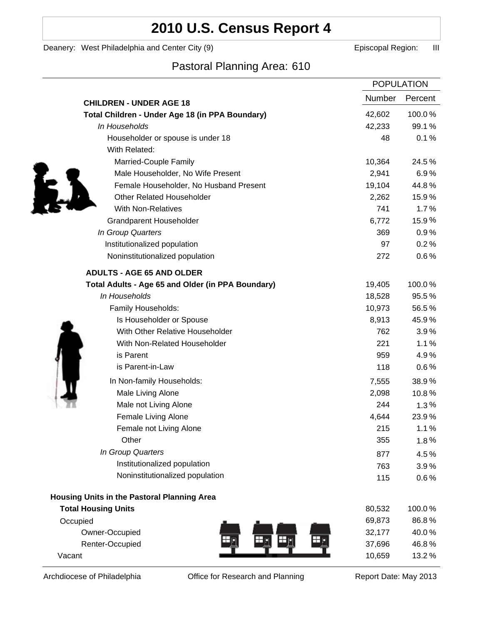# **2010 U.S. Census Report 4**

Deanery: West Philadelphia and Center City (9) **Example 2** Episcopal Region: III

## Pastoral Planning Area: 610

|                                                   | <b>POPULATION</b> |         |
|---------------------------------------------------|-------------------|---------|
| <b>CHILDREN - UNDER AGE 18</b>                    | Number            | Percent |
| Total Children - Under Age 18 (in PPA Boundary)   | 42,602            | 100.0%  |
| In Households                                     | 42,233            | 99.1%   |
| Householder or spouse is under 18                 | 48                | 0.1%    |
| With Related:                                     |                   |         |
| Married-Couple Family                             | 10,364            | 24.5%   |
| Male Householder, No Wife Present                 | 2,941             | 6.9%    |
| Female Householder, No Husband Present            | 19,104            | 44.8%   |
| <b>Other Related Householder</b>                  | 2,262             | 15.9%   |
| <b>With Non-Relatives</b>                         | 741               | 1.7%    |
| <b>Grandparent Householder</b>                    | 6,772             | 15.9%   |
| In Group Quarters                                 | 369               | 0.9%    |
| Institutionalized population                      | 97                | 0.2%    |
| Noninstitutionalized population                   | 272               | 0.6%    |
| <b>ADULTS - AGE 65 AND OLDER</b>                  |                   |         |
| Total Adults - Age 65 and Older (in PPA Boundary) | 19,405            | 100.0%  |
| In Households                                     | 18,528            | 95.5%   |
| Family Households:                                | 10,973            | 56.5%   |
| Is Householder or Spouse                          | 8,913             | 45.9%   |
| With Other Relative Householder                   | 762               | 3.9%    |
| With Non-Related Householder                      | 221               | 1.1%    |
| is Parent                                         | 959               | 4.9%    |
| is Parent-in-Law                                  | 118               | 0.6%    |
| In Non-family Households:                         | 7,555             | 38.9%   |
| Male Living Alone                                 | 2,098             | 10.8%   |
| Male not Living Alone                             | 244               | 1.3%    |
| Female Living Alone                               | 4,644             | 23.9%   |
| Female not Living Alone                           | 215               | 1.1%    |
| Other                                             | 355               | 1.8%    |
| In Group Quarters                                 | 877               | 4.5%    |
| Institutionalized population                      | 763               | 3.9%    |
| Noninstitutionalized population                   | 115               | 0.6%    |
| Housing Units in the Pastoral Planning Area       |                   |         |
| <b>Total Housing Units</b>                        | 80,532            | 100.0%  |
| Occupied                                          | 69,873            | 86.8%   |
| Owner-Occupied                                    | 32,177            | 40.0%   |
| Renter-Occupied                                   | 37,696            | 46.8%   |
| Vacant                                            | 10,659            | 13.2%   |

Archdiocese of Philadelphia **Office for Research and Planning** Report Date: May 2013